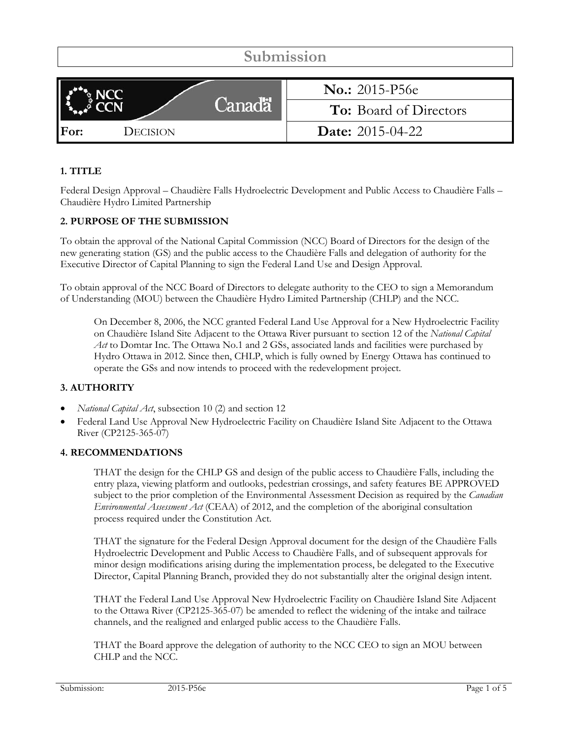| Submission       |                               |  |  |  |
|------------------|-------------------------------|--|--|--|
|                  |                               |  |  |  |
|                  | <b>No.:</b> 2015-P56e         |  |  |  |
| Canadä           | <b>To:</b> Board of Directors |  |  |  |
| For:<br>DECISION | <b>Date:</b> $2015-04-22$     |  |  |  |

# **1. TITLE**

Federal Design Approval – Chaudière Falls Hydroelectric Development and Public Access to Chaudière Falls – Chaudière Hydro Limited Partnership

#### **2. PURPOSE OF THE SUBMISSION**

To obtain the approval of the National Capital Commission (NCC) Board of Directors for the design of the new generating station (GS) and the public access to the Chaudière Falls and delegation of authority for the Executive Director of Capital Planning to sign the Federal Land Use and Design Approval.

To obtain approval of the NCC Board of Directors to delegate authority to the CEO to sign a Memorandum of Understanding (MOU) between the Chaudière Hydro Limited Partnership (CHLP) and the NCC.

On December 8, 2006, the NCC granted Federal Land Use Approval for a New Hydroelectric Facility on Chaudière Island Site Adjacent to the Ottawa River pursuant to section 12 of the *National Capital Act* to Domtar Inc. The Ottawa No.1 and 2 GSs, associated lands and facilities were purchased by Hydro Ottawa in 2012. Since then, CHLP, which is fully owned by Energy Ottawa has continued to operate the GSs and now intends to proceed with the redevelopment project.

#### **3. AUTHORITY**

- *National Capital Act*, subsection 10 (2) and section 12
- Federal Land Use Approval New Hydroelectric Facility on Chaudière Island Site Adjacent to the Ottawa River (CP2125-365-07)

#### **4. RECOMMENDATIONS**

THAT the design for the CHLP GS and design of the public access to Chaudière Falls, including the entry plaza, viewing platform and outlooks, pedestrian crossings, and safety features BE APPROVED subject to the prior completion of the Environmental Assessment Decision as required by the *Canadian Environmental Assessment Act* (CEAA) of 2012, and the completion of the aboriginal consultation process required under the Constitution Act.

THAT the signature for the Federal Design Approval document for the design of the Chaudière Falls Hydroelectric Development and Public Access to Chaudière Falls, and of subsequent approvals for minor design modifications arising during the implementation process, be delegated to the Executive Director, Capital Planning Branch, provided they do not substantially alter the original design intent.

THAT the Federal Land Use Approval New Hydroelectric Facility on Chaudière Island Site Adjacent to the Ottawa River (CP2125-365-07) be amended to reflect the widening of the intake and tailrace channels, and the realigned and enlarged public access to the Chaudière Falls.

THAT the Board approve the delegation of authority to the NCC CEO to sign an MOU between CHLP and the NCC.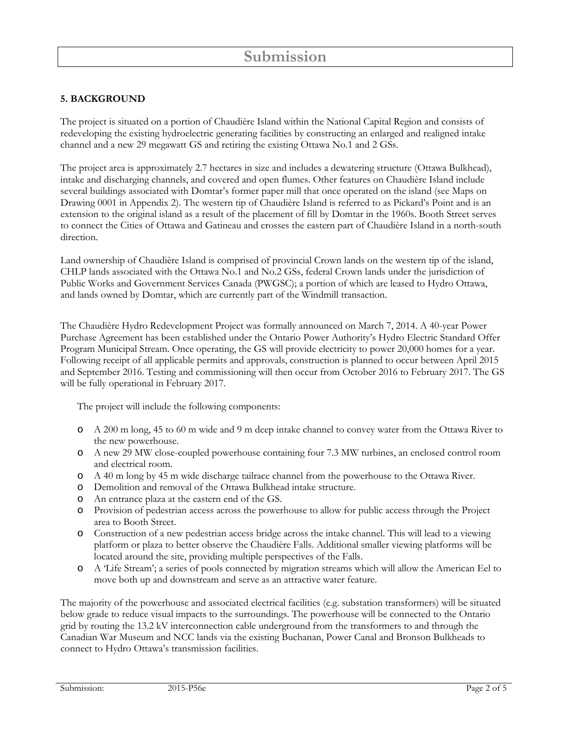## **5. BACKGROUND**

The project is situated on a portion of Chaudière Island within the National Capital Region and consists of redeveloping the existing hydroelectric generating facilities by constructing an enlarged and realigned intake channel and a new 29 megawatt GS and retiring the existing Ottawa No.1 and 2 GSs.

The project area is approximately 2.7 hectares in size and includes a dewatering structure (Ottawa Bulkhead), intake and discharging channels, and covered and open flumes. Other features on Chaudière Island include several buildings associated with Domtar's former paper mill that once operated on the island (see Maps on Drawing 0001 in Appendix 2). The western tip of Chaudière Island is referred to as Pickard's Point and is an extension to the original island as a result of the placement of fill by Domtar in the 1960s. Booth Street serves to connect the Cities of Ottawa and Gatineau and crosses the eastern part of Chaudière Island in a north-south direction.

Land ownership of Chaudière Island is comprised of provincial Crown lands on the western tip of the island, CHLP lands associated with the Ottawa No.1 and No.2 GSs, federal Crown lands under the jurisdiction of Public Works and Government Services Canada (PWGSC); a portion of which are leased to Hydro Ottawa, and lands owned by Domtar, which are currently part of the Windmill transaction.

The Chaudière Hydro Redevelopment Project was formally announced on March 7, 2014. A 40-year Power Purchase Agreement has been established under the Ontario Power Authority's Hydro Electric Standard Offer Program Municipal Stream. Once operating, the GS will provide electricity to power 20,000 homes for a year. Following receipt of all applicable permits and approvals, construction is planned to occur between April 2015 and September 2016. Testing and commissioning will then occur from October 2016 to February 2017. The GS will be fully operational in February 2017.

The project will include the following components:

- o A 200 m long, 45 to 60 m wide and 9 m deep intake channel to convey water from the Ottawa River to the new powerhouse.
- o A new 29 MW close-coupled powerhouse containing four 7.3 MW turbines, an enclosed control room and electrical room.
- o A 40 m long by 45 m wide discharge tailrace channel from the powerhouse to the Ottawa River.
- o Demolition and removal of the Ottawa Bulkhead intake structure.
- o An entrance plaza at the eastern end of the GS.
- o Provision of pedestrian access across the powerhouse to allow for public access through the Project area to Booth Street.
- o Construction of a new pedestrian access bridge across the intake channel. This will lead to a viewing platform or plaza to better observe the Chaudière Falls. Additional smaller viewing platforms will be located around the site, providing multiple perspectives of the Falls.
- o A 'Life Stream'; a series of pools connected by migration streams which will allow the American Eel to move both up and downstream and serve as an attractive water feature.

The majority of the powerhouse and associated electrical facilities (e.g. substation transformers) will be situated below grade to reduce visual impacts to the surroundings. The powerhouse will be connected to the Ontario grid by routing the 13.2 kV interconnection cable underground from the transformers to and through the Canadian War Museum and NCC lands via the existing Buchanan, Power Canal and Bronson Bulkheads to connect to Hydro Ottawa's transmission facilities.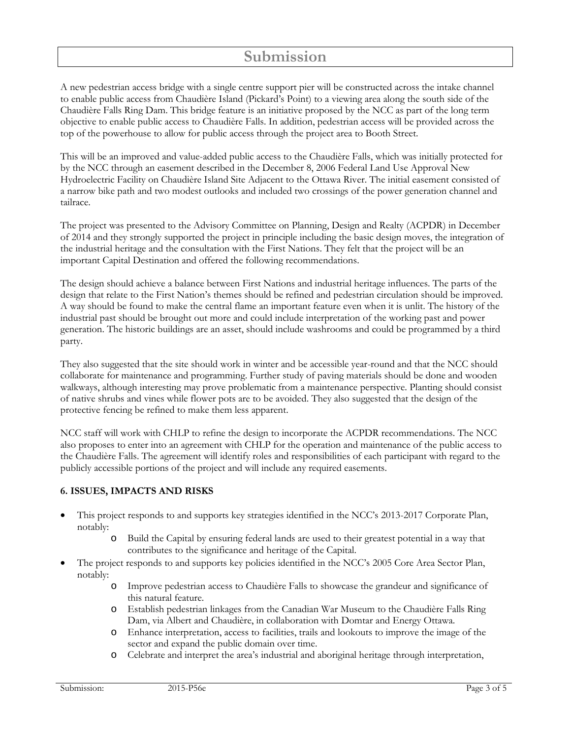# **Submission**

A new pedestrian access bridge with a single centre support pier will be constructed across the intake channel to enable public access from Chaudière Island (Pickard's Point) to a viewing area along the south side of the Chaudière Falls Ring Dam. This bridge feature is an initiative proposed by the NCC as part of the long term objective to enable public access to Chaudière Falls. In addition, pedestrian access will be provided across the top of the powerhouse to allow for public access through the project area to Booth Street.

This will be an improved and value-added public access to the Chaudière Falls, which was initially protected for by the NCC through an easement described in the December 8, 2006 Federal Land Use Approval New Hydroelectric Facility on Chaudière Island Site Adjacent to the Ottawa River. The initial easement consisted of a narrow bike path and two modest outlooks and included two crossings of the power generation channel and tailrace.

The project was presented to the Advisory Committee on Planning, Design and Realty (ACPDR) in December of 2014 and they strongly supported the project in principle including the basic design moves, the integration of the industrial heritage and the consultation with the First Nations. They felt that the project will be an important Capital Destination and offered the following recommendations.

The design should achieve a balance between First Nations and industrial heritage influences. The parts of the design that relate to the First Nation's themes should be refined and pedestrian circulation should be improved. A way should be found to make the central flame an important feature even when it is unlit. The history of the industrial past should be brought out more and could include interpretation of the working past and power generation. The historic buildings are an asset, should include washrooms and could be programmed by a third party.

They also suggested that the site should work in winter and be accessible year-round and that the NCC should collaborate for maintenance and programming. Further study of paving materials should be done and wooden walkways, although interesting may prove problematic from a maintenance perspective. Planting should consist of native shrubs and vines while flower pots are to be avoided. They also suggested that the design of the protective fencing be refined to make them less apparent.

NCC staff will work with CHLP to refine the design to incorporate the ACPDR recommendations. The NCC also proposes to enter into an agreement with CHLP for the operation and maintenance of the public access to the Chaudière Falls. The agreement will identify roles and responsibilities of each participant with regard to the publicly accessible portions of the project and will include any required easements.

#### **6. ISSUES, IMPACTS AND RISKS**

- This project responds to and supports key strategies identified in the NCC's 2013-2017 Corporate Plan, notably:
	- o Build the Capital by ensuring federal lands are used to their greatest potential in a way that contributes to the significance and heritage of the Capital.
- The project responds to and supports key policies identified in the NCC's 2005 Core Area Sector Plan, notably:
	- o Improve pedestrian access to Chaudière Falls to showcase the grandeur and significance of this natural feature.
	- o Establish pedestrian linkages from the Canadian War Museum to the Chaudière Falls Ring Dam, via Albert and Chaudière, in collaboration with Domtar and Energy Ottawa.
	- o Enhance interpretation, access to facilities, trails and lookouts to improve the image of the sector and expand the public domain over time.
	- o Celebrate and interpret the area's industrial and aboriginal heritage through interpretation,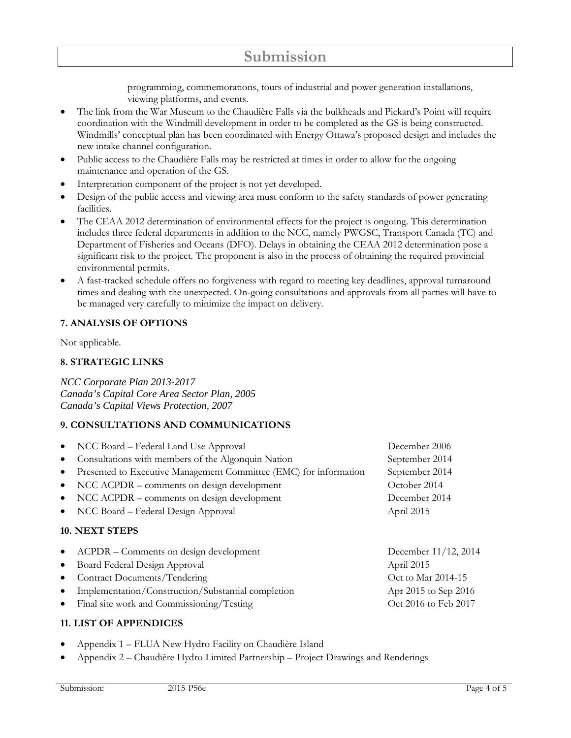programming, commemorations, tours of industrial and power generation installations, viewing platforms, and events.

- The link from the War Museum to the Chaudière Falls via the bulkheads and Pickard's Point will require coordination with the Windmill development in order to be completed as the GS is being constructed. Windmills' conceptual plan has been coordinated with Energy Ottawa's proposed design and includes the new intake channel configuration.
- Public access to the Chaudière Falls may be restricted at times in order to allow for the ongoing maintenance and operation of the GS.
- Interpretation component of the project is not yet developed.
- Design of the public access and viewing area must conform to the safety standards of power generating facilities.
- The CEAA 2012 determination of environmental effects for the project is ongoing. This determination includes three federal departments in addition to the NCC, namely PWGSC, Transport Canada (TC) and Department of Fisheries and Oceans (DFO). Delays in obtaining the CEAA 2012 determination pose a significant risk to the project. The proponent is also in the process of obtaining the required provincial environmental permits.
- A fast-tracked schedule offers no forgiveness with regard to meeting key deadlines, approval turnaround times and dealing with the unexpected. On-going consultations and approvals from all parties will have to be managed very carefully to minimize the impact on delivery.

## **7. ANALYSIS OF OPTIONS**

Not applicable.

#### **8. STRATEGIC LINKS**

*NCC Corporate Plan 2013-2017 Canada's Capital Core Area Sector Plan, 2005 Canada's Capital Views Protection, 2007*

#### **9. CONSULTATIONS AND COMMUNICATIONS**

| $\bullet$ | NCC Board – Federal Land Use Approval                             | December 2006        |
|-----------|-------------------------------------------------------------------|----------------------|
| $\bullet$ | Consultations with members of the Algonquin Nation                | September 2014       |
| $\bullet$ | Presented to Executive Management Committee (EMC) for information | September 2014       |
| $\bullet$ | NCC ACPDR – comments on design development                        | October 2014         |
| $\bullet$ | NCC ACPDR – comments on design development                        | December 2014        |
| $\bullet$ | NCC Board – Federal Design Approval                               | April 2015           |
|           | 10. NEXT STEPS                                                    |                      |
| $\bullet$ | ACPDR – Comments on design development                            | December 11/12, 2014 |
| $\bullet$ | Board Federal Design Approval                                     | April 2015           |
| $\bullet$ | Contract Documents/Tendering                                      | Oct to Mar 2014-15   |
|           |                                                                   |                      |

- Implementation/Construction/Substantial completion Apr 2015 to Sep 2016
- Final site work and Commissioning/Testing Testing Oct 2016 to Feb 2017

#### **11. LIST OF APPENDICES**

- Appendix 1 FLUA New Hydro Facility on Chaudière Island
- Appendix 2 Chaudière Hydro Limited Partnership Project Drawings and Renderings